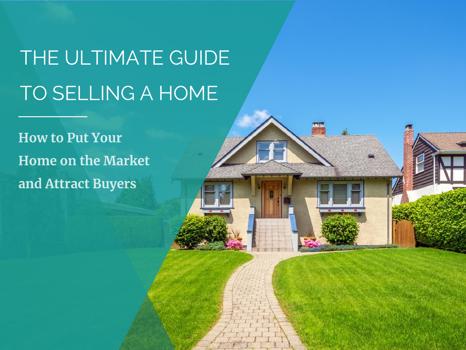# THE ULTIMATE GUIDE TO SELLING A HOME

**How to Put Your Home on the Market** and Attract Buyers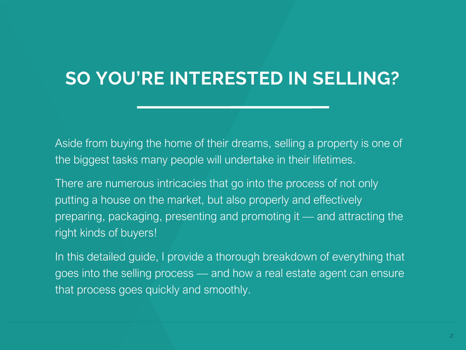# **SO YOU'RE INTERESTED IN SELLING?**

Aside from buying the home of their dreams, selling a property is one of the biggest tasks many people will undertake in their lifetimes.

There are numerous intricacies that go into the process of not only putting a house on the market, but also properly and effectively preparing, packaging, presenting and promoting it — and attracting the right kinds of buyers!

In this detailed guide, I provide a thorough breakdown of everything that goes into the selling process — and how a real estate agent can ensure that process goes quickly and smoothly.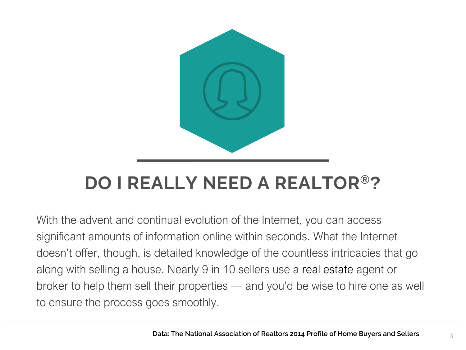

With the advent and continual evolution of the Internet, you can access significant amounts of information online within seconds. What the Internet doesn't offer, though, is detailed knowledge of the countless intricacies that go along with selling a house. Nearly 9 in 10 sellers use a real estate agent or broker to help them sell their properties — and you'd be wise to hire one as well to ensure the process goes smoothly.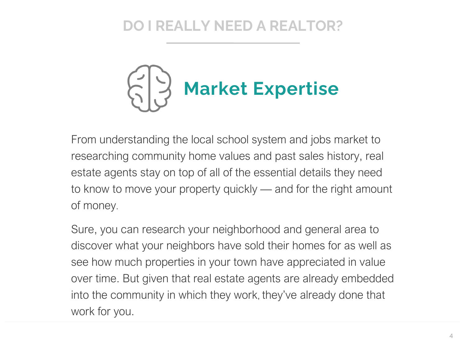

From understanding the local school system and jobs market to researching community home values and past sales history, real estate agents stay on top of all of the essential details they need to know to move your property quickly — and for the right amount of money.

Sure, you can research your neighborhood and general area to discover what your neighbors have sold their homes for as well as see how much properties in your town have appreciated in value over time. But given that real estate agents are already embedded into the community in which they work, they've already done that work for you.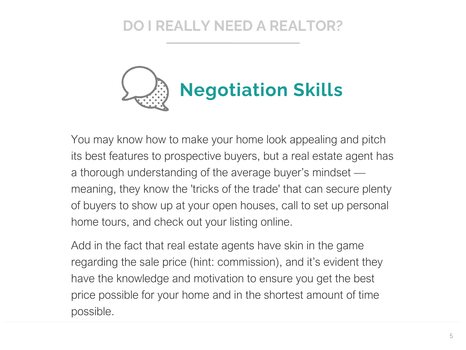

You may know how to make your home look appealing and pitch its best features to prospective buyers, but a real estate agent has a thorough understanding of the average buyer's mindset meaning, they know the 'tricks of the trade' that can secure plenty of buyers to show up at your open houses, call to set up personal home tours, and check out your listing online.

Add in the fact that real estate agents have skin in the game regarding the sale price (hint: commission), and it's evident they have the knowledge and motivation to ensure you get the best price possible for your home and in the shortest amount of time possible.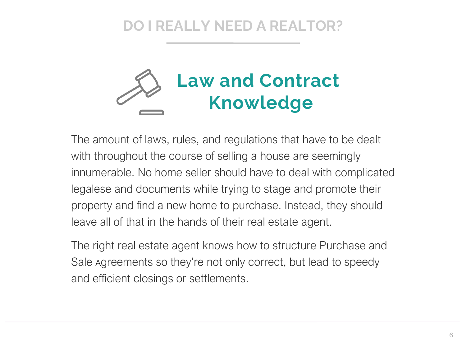

The amount of laws, rules, and regulations that have to be dealt with throughout the course of selling a house are seemingly innumerable. No home seller should have to deal with complicated legalese and documents while trying to stage and promote their property and find a new home to purchase. Instead, they should leave all of that in the hands of their real estate agent.

The right real estate agent knows how to structure Purchase and Sale Agreements so they're not only correct, but lead to speedy and efficient closings or settlements.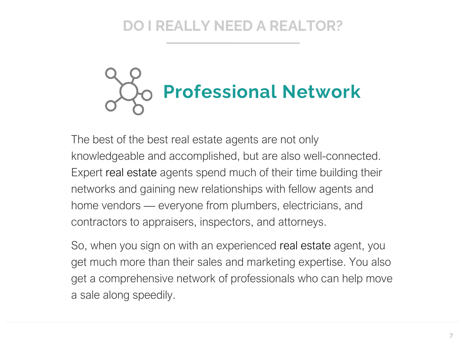

The best of the best real estate agents are not only knowledgeable and accomplished, but are also well-connected. Expert real estate agents spend much of their time building their networks and gaining new relationships with fellow agents and home vendors — everyone from plumbers, electricians, and contractors to appraisers, inspectors, and attorneys.

So, when you sign on with an experienced real estate agent, you get much more than their sales and marketing expertise. You also get a comprehensive network of professionals who can help move a sale along speedily.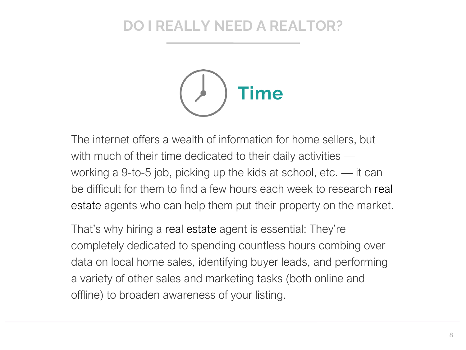

The internet offers a wealth of information for home sellers, but with much of their time dedicated to their daily activities working a 9-to-5 job, picking up the kids at school, etc. — it can be difficult for them to find a few hours each week to research real estate agents who can help them put their property on the market.

That's why hiring a real estate agent is essential: They're completely dedicated to spending countless hours combing over data on local home sales, identifying buyer leads, and performing a variety of other sales and marketing tasks (both online and offline) to broaden awareness of your listing.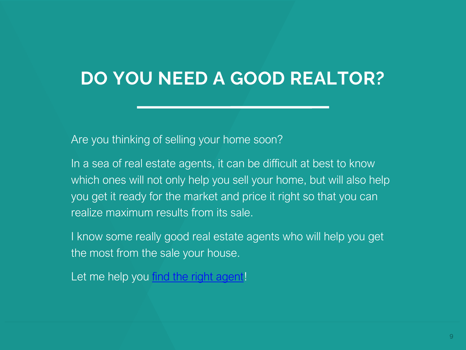## **DO YOU NEED A GOOD REALTOR?**

Are you thinking of selling your home soon?

In a sea of real estate agents, it can be difficult at best to know which ones will not only help you sell your home, but will also help you get it ready for the market and price it right so that you can realize maximum results from its sale.

I know some really good real estate agents who will help you get the most from the sale your house.

Let me help you [find the right agent!](https://forms.gle/i6GVgen2oPVWQSCV7)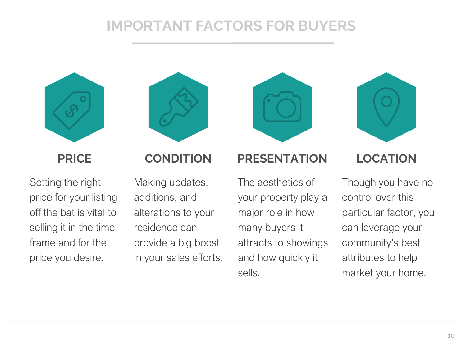### **IMPORTANT FACTORS FOR BUYERS**





Setting the right price for your listing off the bat is vital to selling it in the time frame and for the price you desire.

Making updates, additions, and alterations to your residence can provide a big boost in your sales efforts.

#### **PRICE CONDITION PRESENTATION LOCATION**

The aesthetics of your property play a major role in how many buyers it attracts to showings and how quickly it sells.



Though you have no control over this particular factor, you can leverage your community's best attributes to help market your home.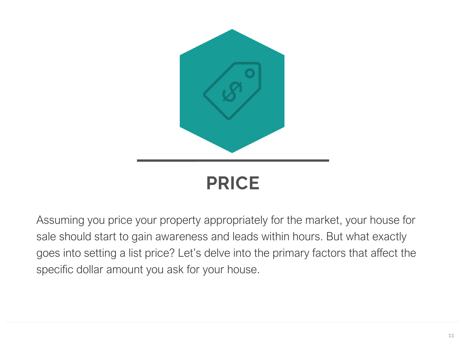

Assuming you price your property appropriately for the market, your house for sale should start to gain awareness and leads within hours. But what exactly goes into setting a list price? Let's delve into the primary factors that affect the specific dollar amount you ask for your house.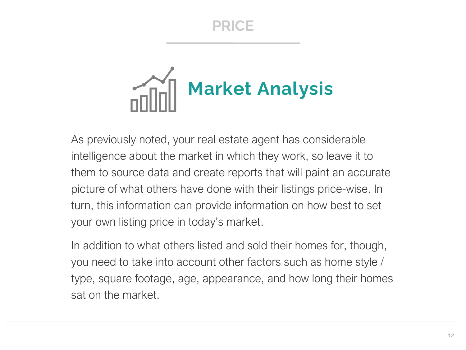

As previously noted, your real estate agent has considerable intelligence about the market in which they work, so leave it to them to source data and create reports that will paint an accurate picture of what others have done with their listings price-wise. In turn, this information can provide information on how best to set your own listing price in today's market.

In addition to what others listed and sold their homes for, though, you need to take into account other factors such as home style / type, square footage, age, appearance, and how long their homes sat on the market.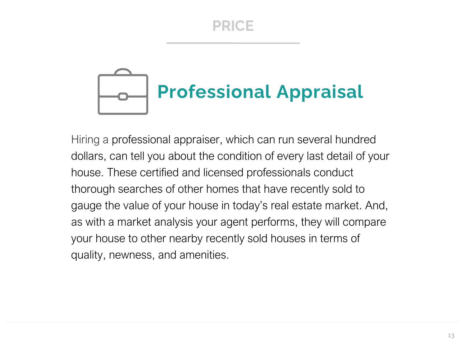# **Professional Appraisal**

Hiring a professional appraiser, which can run several hundred dollars, can tell you about the condition of every last detail of your house. These certified and licensed professionals conduct thorough searches of other homes that have recently sold to gauge the value of your house in today's real estate market. And, as with a market analysis your agent performs, they will compare your house to other nearby recently sold houses in terms of quality, newness, and amenities.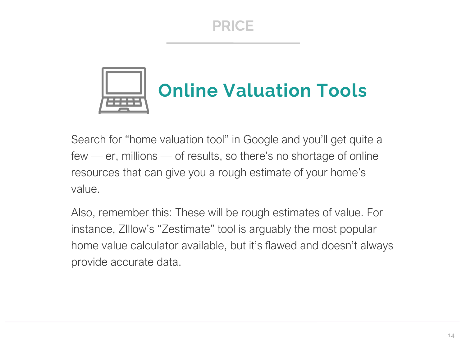

Search for "home valuation tool" in Google and you'll get quite a few — er, millions — of results, so there's no shortage of online resources that can give you a rough estimate of your home's value.

Also, remember this: These will be rough estimates of value. For instance, ZIllow's "Zestimate" tool is arguably the most popular home value calculator available, but it's flawed and doesn't always provide accurate data.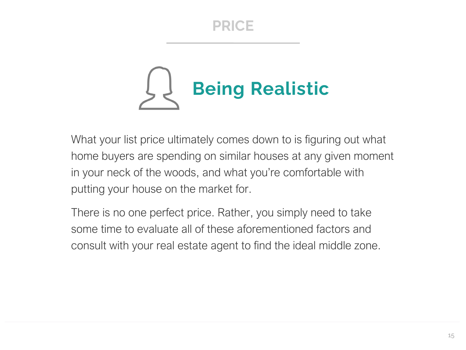

What your list price ultimately comes down to is figuring out what home buyers are spending on similar houses at any given moment in your neck of the woods, and what you're comfortable with putting your house on the market for.

There is no one perfect price. Rather, you simply need to take some time to evaluate all of these aforementioned factors and consult with your real estate agent to find the ideal middle zone.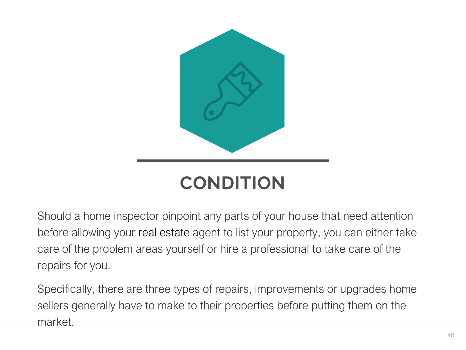

Should a home inspector pinpoint any parts of your house that need attention before allowing your real estate agent to list your property, you can either take care of the problem areas yourself or hire a professional to take care of the repairs for you.

Specifically, there are three types of repairs, improvements or upgrades home sellers generally have to make to their properties before putting them on the market.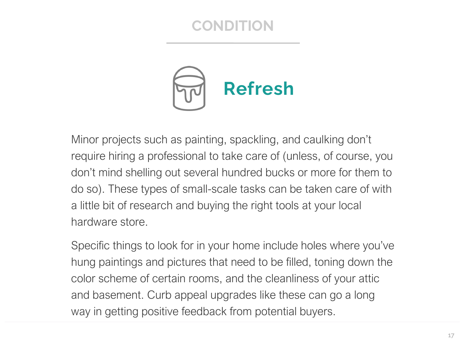

Minor projects such as painting, spackling, and caulking don't require hiring a professional to take care of (unless, of course, you don't mind shelling out several hundred bucks or more for them to do so). These types of small-scale tasks can be taken care of with a little bit of research and buying the right tools at your local hardware store.

Specific things to look for in your home include holes where you've hung paintings and pictures that need to be filled, toning down the color scheme of certain rooms, and the cleanliness of your attic and basement. Curb appeal upgrades like these can go a long way in getting positive feedback from potential buyers.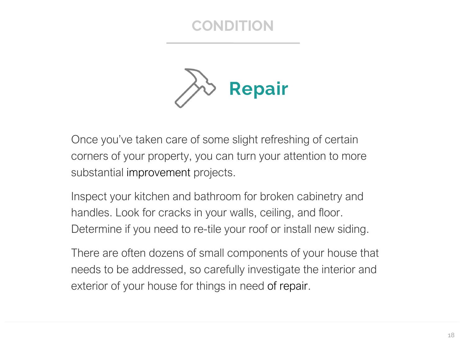

Once you've taken care of some slight refreshing of certain corners of your property, you can turn your attention to more substantial improvement projects.

Inspect your kitchen and bathroom for broken cabinetry and handles. Look for cracks in your walls, ceiling, and floor. Determine if you need to re-tile your roof or install new siding.

There are often dozens of small components of your house that needs to be addressed, so carefully investigate the interior and exterior of your house for things in need of repair.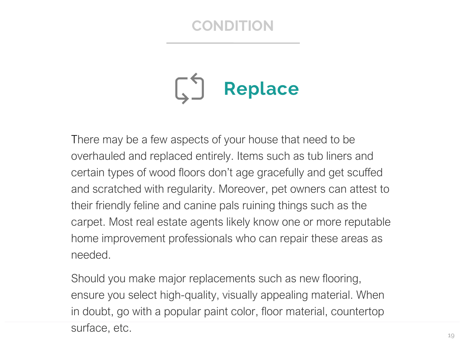

There may be a few aspects of your house that need to be overhauled and replaced entirely. Items such as tub liners and certain types of wood floors don't age gracefully and get scuffed and scratched with regularity. Moreover, pet owners can attest to their friendly feline and canine pals ruining things such as the carpet. Most real estate agents likely know one or more reputable home improvement professionals who can repair these areas as needed.

Should you make major replacements such as new flooring, ensure you select high-quality, visually appealing material. When in doubt, go with a popular paint color, floor material, countertop surface, etc.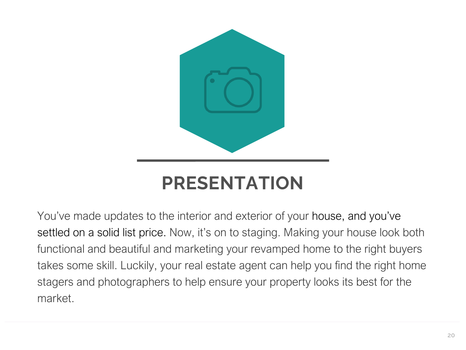

You've made updates to the interior and exterior of your house, and you've settled on a solid list price. Now, it's on to staging. Making your house look both functional and beautiful and marketing your revamped home to the right buyers takes some skill. Luckily, your real estate agent can help you find the right home stagers and photographers to help ensure your property looks its best for the market.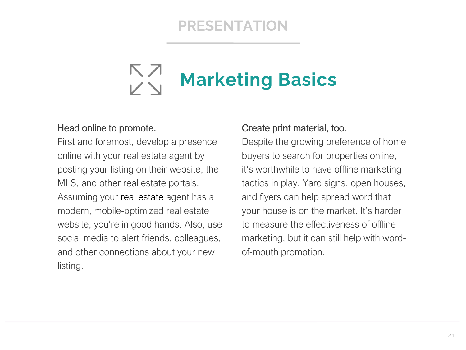# **Marketing Basics**

#### Head online to promote.

First and foremost, develop a presence online with your real estate agent by posting your listing on their website, the MLS, and other real estate portals. Assuming your real estate agent has a modern, mobile-optimized real estate website, you're in good hands. Also, use social media to alert friends, colleagues, and other connections about your new listing.

#### Create print material, too.

Despite the growing preference of home buyers to search for properties online, it's worthwhile to have offline marketing tactics in play. Yard signs, open houses, and flyers can help spread word that your house is on the market. It's harder to measure the effectiveness of offline marketing, but it can still help with wordof-mouth promotion.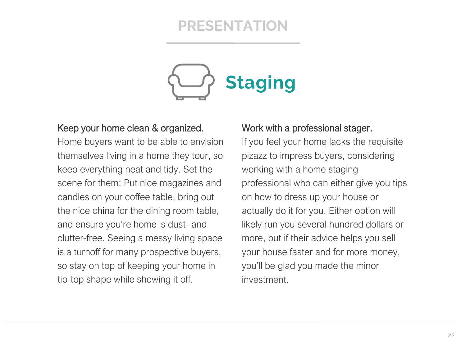

#### Keep your home clean & organized.

Home buyers want to be able to envision themselves living in a home they tour, so keep everything neat and tidy. Set the scene for them: Put nice magazines and candles on your coffee table, bring out the nice china for the dining room table, and ensure you're home is dust- and clutter-free. Seeing a messy living space is a turnoff for many prospective buyers, so stay on top of keeping your home in tip-top shape while showing it off.

#### Work with a professional stager.

If you feel your home lacks the requisite pizazz to impress buyers, considering working with a home staging professional who can either give you tips on how to dress up your house or actually do it for you. Either option will likely run you several hundred dollars or more, but if their advice helps you sell your house faster and for more money, you'll be glad you made the minor investment.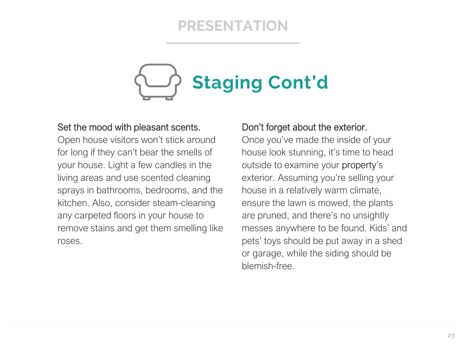

#### Set the mood with pleasant scents.

Open house visitors won't stick around for long if they can't bear the smells of your house. Light a few candles in the living areas and use scented cleaning sprays in bathrooms, bedrooms, and the kitchen. Also, consider steam-cleaning any carpeted floors in your house to remove stains and get them smelling like roses.

#### Don't forget about the exterior.

Once you've made the inside of your house look stunning, it's time to head outside to examine your property's exterior. Assuming you're selling your house in a relatively warm climate, ensure the lawn is mowed, the plants are pruned, and there's no unsightly messes anywhere to be found. Kids' and pets' toys should be put away in a shed or garage, while the siding should be blemish-free.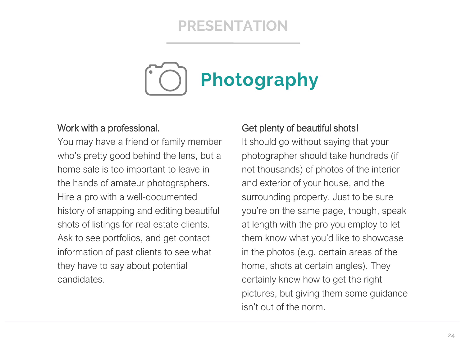

#### Work with a professional.

You may have a friend or family member who's pretty good behind the lens, but a home sale is too important to leave in the hands of amateur photographers. Hire a pro with a well-documented history of snapping and editing beautiful shots of listings for real estate clients. Ask to see portfolios, and get contact information of past clients to see what they have to say about potential candidates.

#### Get plenty of beautiful shots!

It should go without saying that your photographer should take hundreds (if not thousands) of photos of the interior and exterior of your house, and the surrounding property. Just to be sure you're on the same page, though, speak at length with the pro you employ to let them know what you'd like to showcase in the photos (e.g. certain areas of the home, shots at certain angles). They certainly know how to get the right pictures, but giving them some guidance isn't out of the norm.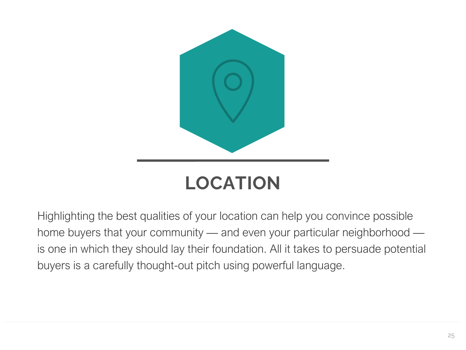

# **LOCATION**

Highlighting the best qualities of your location can help you convince possible home buyers that your community — and even your particular neighborhood is one in which they should lay their foundation. All it takes to persuade potential buyers is a carefully thought-out pitch using powerful language.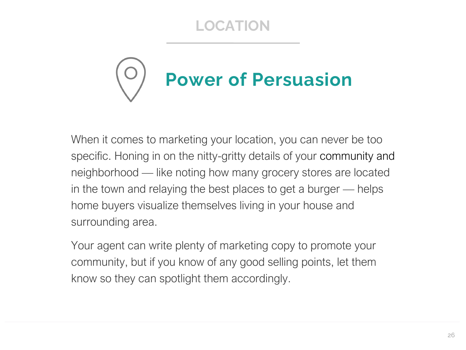### **LOCATION**



When it comes to marketing your location, you can never be too specific. Honing in on the nitty-gritty details of your community and neighborhood — like noting how many grocery stores are located in the town and relaying the best places to get a burger — helps home buyers visualize themselves living in your house and surrounding area.

Your agent can write plenty of marketing copy to promote your community, but if you know of any good selling points, let them know so they can spotlight them accordingly.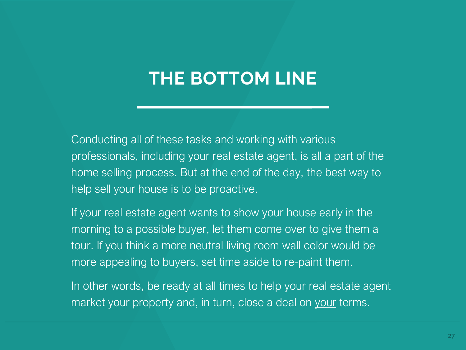## **THE BOTTOM LINE**

Conducting all of these tasks and working with various professionals, including your real estate agent, is all a part of the home selling process. But at the end of the day, the best way to help sell your house is to be proactive.

If your real estate agent wants to show your house early in the morning to a possible buyer, let them come over to give them a tour. If you think a more neutral living room wall color would be more appealing to buyers, set time aside to re-paint them.

In other words, be ready at all times to help your real estate agent market your property and, in turn, close a deal on your terms.